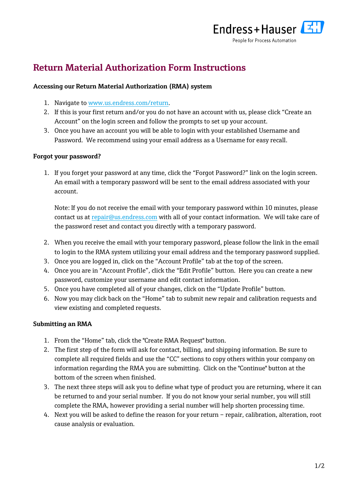

## **Return Material Authorization Form Instructions**

## **Accessing our Return Material Authorization (RMA) system**

- 1. Navigate to [www.us.endress.com/return.](http://www.us.endress.com/return)
- 2. If this is your first return and/or you do not have an account with us, please click "Create an Account" on the login screen and follow the prompts to set up your account.
- 3. Once you have an account you will be able to login with your established Username and Password. We recommend using your email address as a Username for easy recall.

## **Forgot your password?**

1. If you forget your password at any time, click the "Forgot Password?" link on the login screen. An email with a temporary password will be sent to the email address associated with your account.

Note: If you do not receive the email with your temporary password within 10 minutes, please contact us at [repair@us.endress.com](mailto:repair@us.endress.com) with all of your contact information. We will take care of the password reset and contact you directly with a temporary password.

- 2. When you receive the email with your temporary password, please follow the link in the email to login to the RMA system utilizing your email address and the temporary password supplied.
- 3. Once you are logged in, click on the "Account Profile" tab at the top of the screen.
- 4. Once you are in "Account Profile", click the "Edit Profile" button. Here you can create a new password, customize your username and edit contact information.
- 5. Once you have completed all of your changes, click on the "Update Profile" button.
- 6. Now you may click back on the "Home" tab to submit new repair and calibration requests and view existing and completed requests.

## **Submitting an RMA**

- 1. From the "Home" tab, click the "Create RMA Request" button.
- 2. The first step of the form will ask for contact, billing, and shipping information. Be sure to complete all required fields and use the "CC" sections to copy others within your company on information regarding the RMA you are submitting. Click on the "Continue" button at the bottom of the screen when finished.
- 3. The next three steps will ask you to define what type of product you are returning, where it can be returned to and your serial number. If you do not know your serial number, you will still complete the RMA, however providing a serial number will help shorten processing time.
- 4. Next you will be asked to define the reason for your return repair, calibration, alteration, root cause analysis or evaluation.